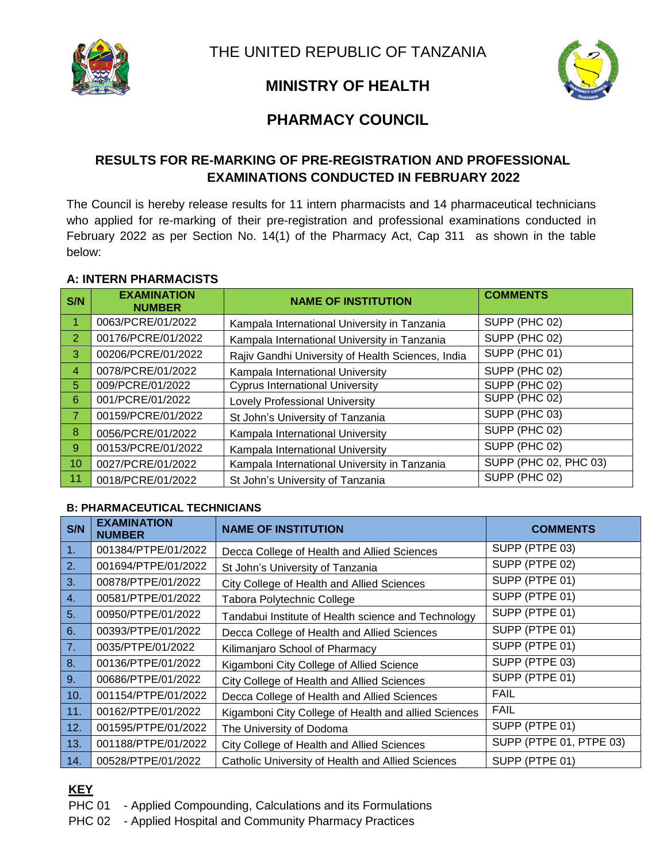

# **MINISTRY OF HEALTH**

# **PHARMACY COUNCIL**

## **RESULTS FOR RE-MARKING OF PRE-REGISTRATION AND PROFESSIONAL EXAMINATIONS CONDUCTED IN FEBRUARY 2022**

The Council is hereby release results for 11 intern pharmacists and 14 pharmaceutical technicians who applied for re-marking of their pre-registration and professional examinations conducted in February 2022 as per Section No. 14(1) of the Pharmacy Act, Cap 311 as shown in the table below:

### **A: INTERN PHARMACISTS**

| S/N            | <b>EXAMINATION</b><br><b>NUMBER</b> | <b>NAME OF INSTITUTION</b>                        | <b>COMMENTS</b>       |
|----------------|-------------------------------------|---------------------------------------------------|-----------------------|
| 1              | 0063/PCRE/01/2022                   | Kampala International University in Tanzania      | SUPP (PHC 02)         |
| 2              | 00176/PCRE/01/2022                  | Kampala International University in Tanzania      | SUPP (PHC 02)         |
| 3              | 00206/PCRE/01/2022                  | Rajiv Gandhi University of Health Sciences, India | SUPP (PHC 01)         |
| $\overline{4}$ | 0078/PCRE/01/2022                   | Kampala International University                  | SUPP (PHC 02)         |
| 5              | 009/PCRE/01/2022                    | <b>Cyprus International University</b>            | SUPP (PHC 02)         |
| 6              | 001/PCRE/01/2022                    | Lovely Professional University                    | SUPP (PHC 02)         |
| $\overline{7}$ | 00159/PCRE/01/2022                  | St John's University of Tanzania                  | SUPP (PHC 03)         |
| 8              | 0056/PCRE/01/2022                   | Kampala International University                  | SUPP (PHC 02)         |
| 9              | 00153/PCRE/01/2022                  | Kampala International University                  | SUPP (PHC 02)         |
| 10             | 0027/PCRE/01/2022                   | Kampala International University in Tanzania      | SUPP (PHC 02, PHC 03) |
| 11             | 0018/PCRE/01/2022                   | St John's University of Tanzania                  | SUPP (PHC 02)         |

#### **B: PHARMACEUTICAL TECHNICIANS**

| S/N | <b>EXAMINATION</b><br><b>NUMBER</b> | <b>NAME OF INSTITUTION</b>                           | <b>COMMENTS</b>         |
|-----|-------------------------------------|------------------------------------------------------|-------------------------|
| 1.  | 001384/PTPE/01/2022                 | Decca College of Health and Allied Sciences          | SUPP (PTPE 03)          |
| 2.  | 001694/PTPE/01/2022                 | St John's University of Tanzania                     | SUPP (PTPE 02)          |
| 3.  | 00878/PTPE/01/2022                  | City College of Health and Allied Sciences           | SUPP (PTPE 01)          |
| 4.  | 00581/PTPE/01/2022                  | Tabora Polytechnic College                           | SUPP (PTPE 01)          |
| 5.  | 00950/PTPE/01/2022                  | Tandabui Institute of Health science and Technology  | SUPP (PTPE 01)          |
| 6.  | 00393/PTPE/01/2022                  | Decca College of Health and Allied Sciences          | SUPP (PTPE 01)          |
| 7.  | 0035/PTPE/01/2022                   | Kilimanjaro School of Pharmacy                       | SUPP (PTPE 01)          |
| 8.  | 00136/PTPE/01/2022                  | Kigamboni City College of Allied Science             | SUPP (PTPE 03)          |
| 9.  | 00686/PTPE/01/2022                  | City College of Health and Allied Sciences           | SUPP (PTPE 01)          |
| 10. | 001154/PTPE/01/2022                 | Decca College of Health and Allied Sciences          | <b>FAIL</b>             |
| 11. | 00162/PTPE/01/2022                  | Kigamboni City College of Health and allied Sciences | <b>FAIL</b>             |
| 12. | 001595/PTPE/01/2022                 | The University of Dodoma                             | SUPP (PTPE 01)          |
| 13. | 001188/PTPE/01/2022                 | City College of Health and Allied Sciences           | SUPP (PTPE 01, PTPE 03) |
| 14. | 00528/PTPE/01/2022                  | Catholic University of Health and Allied Sciences    | SUPP (PTPE 01)          |

## **KEY**

- PHC 01 Applied Compounding, Calculations and its Formulations
- PHC 02 Applied Hospital and Community Pharmacy Practices